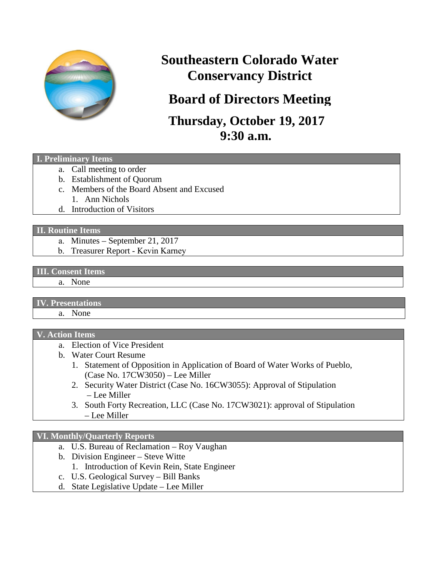

# **Southeastern Colorado Water Conservancy District**

# **Board of Directors Meeting**

## **Thursday, October 19, 2017 9:30 a.m.**

### **I. Preliminary Items**

- a. Call meeting to order
- b. Establishment of Quorum
- c. Members of the Board Absent and Excused 1. Ann Nichols
- d. Introduction of Visitors

#### **II. Routine Items**

- a. Minutes September 21, 2017
- b. Treasurer Report Kevin Karney

### **III. Consent Items**

#### a. None

### **IV. Presentations**

a. None

### **V. Action Items**

- a. Election of Vice President
- b. Water Court Resume
	- 1. Statement of Opposition in Application of Board of Water Works of Pueblo, (Case No. 17CW3050) – Lee Miller
	- 2. Security Water District (Case No. 16CW3055): Approval of Stipulation – Lee Miller
	- 3. South Forty Recreation, LLC (Case No. 17CW3021): approval of Stipulation – Lee Miller

### **VI. Monthly/Quarterly Reports**

- a. U.S. Bureau of Reclamation Roy Vaughan
- b. Division Engineer Steve Witte
	- 1. Introduction of Kevin Rein, State Engineer
- c. U.S. Geological Survey Bill Banks
- d. State Legislative Update Lee Miller